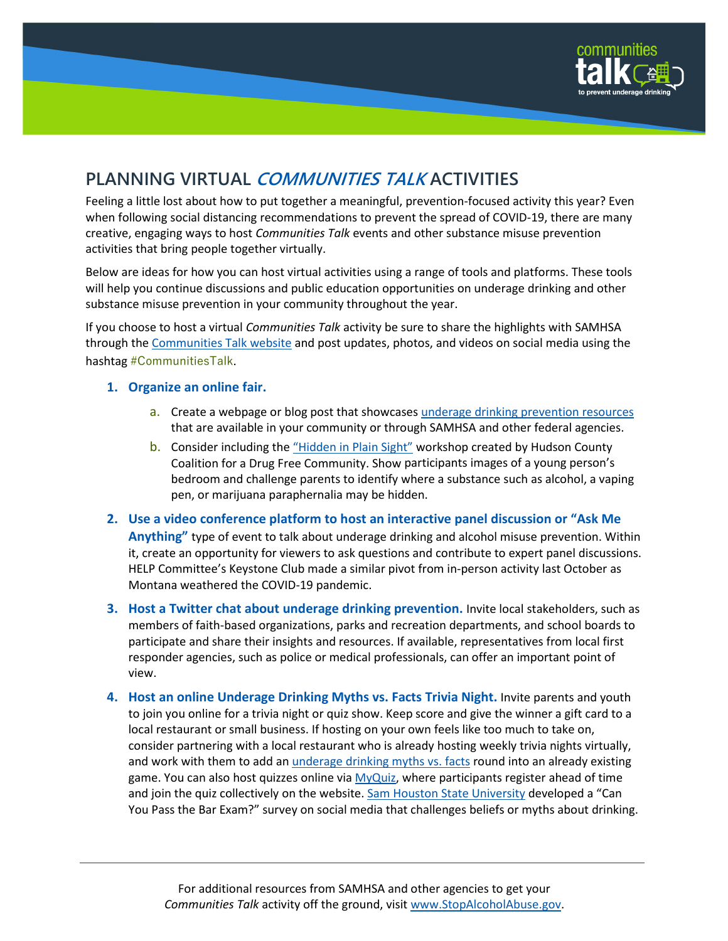

# **PLANNING VIRTUAL COMMUNITIES TALK ACTIVITIES**

Feeling a little lost about how to put together a meaningful, prevention-focused activity this year? Even when following social distancing recommendations to prevent the spread of COVID-19, there are many creative, engaging ways to host *Communities Talk* events and other substance misuse prevention activities that bring people together virtually.

Below are ideas for how you can host virtual activities using a range of tools and platforms. These tools will help you continue discussions and public education opportunities on underage drinking and other substance misuse prevention in your community throughout the year.

If you choose to host a virtual *Communities Talk* activity be sure to share the highlights with SAMHSA through th[e Communities Talk website](https://www.stopalcoholabuse.gov/communitiestalk/) and post updates, photos, and videos on social media using the hashtag #CommunitiesTalk.

#### **1. Organize an online fair.**

- a. Create a webpage or blog post that showcases [underage drinking prevention resources](https://www.stopalcoholabuse.gov/communitiestalk/tips-resources/default.aspx) that are available in your community or through SAMHSA and other federal agencies.
- b. Consider including the ["Hidden in Plain Sight"](https://www.stopalcoholabuse.gov/communitiestalk/successstories/sstorydetails.aspx?sstory=24964) workshop created by Hudson County Coalition for a Drug Free Community. Show participants images of a young person's bedroom and challenge parents to identify where a substance such as alcohol, a vaping pen, or marijuana paraphernalia may be hidden.
- **2. Use a video conference platform to host an interactive panel discussion or "Ask Me Anything"** type of event to talk about underage drinking and alcohol misuse prevention. Within it, create an opportunity for viewers to ask questions and contribute to expert panel discussions. HELP Committee's Keystone Club made a similar pivot from in-person activity last October as Montana weathered the COVID-19 pandemic.
- **3. Host a Twitter chat about underage drinking prevention.** Invite local stakeholders, such as members of faith-based organizations, parks and recreation departments, and school boards to participate and share their insights and resources. If available, representatives from local first responder agencies, such as police or medical professionals, can offer an important point of view.
- **4. Host an online Underage Drinking Myths vs. Facts Trivia Night.** Invite parents and youth to join you online for a trivia night or quiz show. Keep score and give the winner a gift card to a local restaurant or small business. If hosting on your own feels like too much to take on, consider partnering with a local restaurant who is already hosting weekly trivia nights virtually, and work with them to add a[n underage drinking myths vs. facts](https://store.samhsa.gov/product/Underage-Drinking-Myths-vs-Facts/sma18-4299) round into an already existing game. You can also host quizzes online vi[a MyQuiz,](https://myquiz.org/) where participants register ahead of time and join the quiz collectively on the website. [Sam Houston State University](https://www.stopalcoholabuse.gov/communitiestalk/successstories/sstorydetails.aspx?sstory=25998) developed a "Can You Pass the Bar Exam?" survey on social media that challenges beliefs or myths about drinking.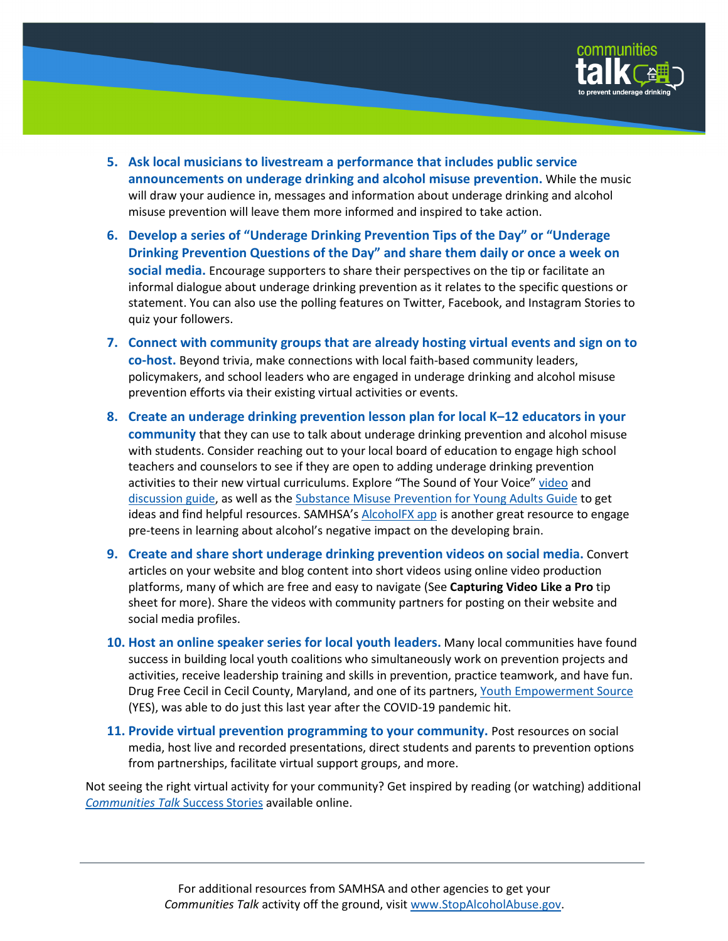

- **5. Ask local musicians to livestream a performance that includes public service announcements on underage drinking and alcohol misuse prevention.** While the music will draw your audience in, messages and information about underage drinking and alcohol misuse prevention will leave them more informed and inspired to take action.
- **6. Develop a series of "Underage Drinking Prevention Tips of the Day" or "Underage Drinking Prevention Questions of the Day" and share them daily or once a week on social media.** Encourage supporters to share their perspectives on the tip or facilitate an informal dialogue about underage drinking prevention as it relates to the specific questions or statement. You can also use the polling features on Twitter, Facebook, and Instagram Stories to quiz your followers.
- **7. Connect with community groups that are already hosting virtual events and sign on to co-host.** Beyond trivia, make connections with local faith-based community leaders, policymakers, and school leaders who are engaged in underage drinking and alcohol misuse prevention efforts via their existing virtual activities or events.
- **8. Create an underage drinking prevention lesson plan for local K–12 educators in your community** that they can use to talk about underage drinking prevention and alcohol misuse with students. Consider reaching out to your local board of education to engage high school teachers and counselors to see if they are open to adding underage drinking prevention activities to their new virtual curriculums. Explore "The Sound of Your Voice" [video](https://www.stopalcoholabuse.gov/engagement/soyv.aspx) and [discussion guide,](https://www.stopalcoholabuse.gov/media/SOYV_ParentGuide.pdf) as well as th[e Substance Misuse Prevention for Young Adults Guide](https://store.samhsa.gov/product/Substance-Misuse-Prevention-for-Young-Adults/PEP19-PL-Guide-1) to get ideas and find helpful resources. SAMHSA's **AlcoholFX** app is another great resource to engage pre-teens in learning about alcohol's negative impact on the developing brain.
- **9. Create and share short underage drinking prevention videos on social media.** Convert articles on your website and blog content into short videos using online video production platforms, many of which are free and easy to navigate (See **Capturing Video Like a Pro** tip sheet for more). Share the videos with community partners for posting on their website and social media profiles.
- **10. Host an online speaker series for local youth leaders.** Many local communities have found success in building local youth coalitions who simultaneously work on prevention projects and activities, receive leadership training and skills in prevention, practice teamwork, and have fun. Drug Free Cecil in Cecil County, Maryland, and one of its partners, [Youth Empowerment Source](https://www.youthempowermentsource.org/) (YES), was able to do just this last year after the COVID-19 pandemic hit.
- **11. Provide virtual prevention programming to your community.** Post resources on social media, host live and recorded presentations, direct students and parents to prevention options from partnerships, facilitate virtual support groups, and more.

Not seeing the right virtual activity for your community? Get inspired by reading (or watching) additional *[Communities Talk](https://www.stopalcoholabuse.gov/communitiestalk/successstories/)* Success Stories available online.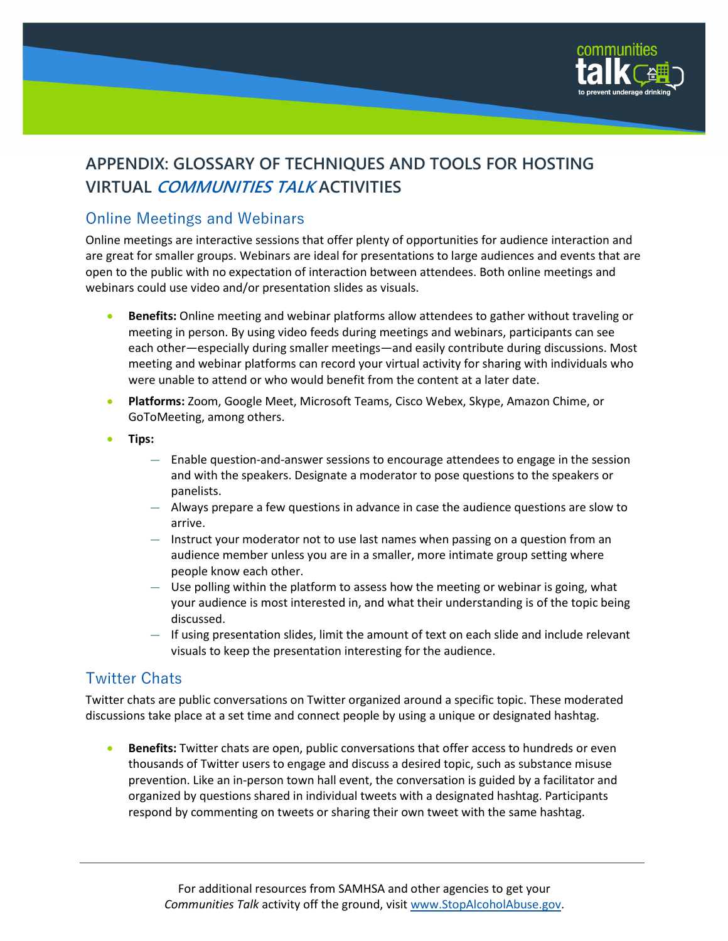

# **APPENDIX: GLOSSARY OF TECHNIQUES AND TOOLS FOR HOSTING VIRTUAL COMMUNITIES TALK ACTIVITIES**

## Online Meetings and Webinars

Online meetings are interactive sessions that offer plenty of opportunities for audience interaction and are great for smaller groups. Webinars are ideal for presentations to large audiences and events that are open to the public with no expectation of interaction between attendees. Both online meetings and webinars could use video and/or presentation slides as visuals.

- **Benefits:** Online meeting and webinar platforms allow attendees to gather without traveling or meeting in person. By using video feeds during meetings and webinars, participants can see each other―especially during smaller meetings―and easily contribute during discussions. Most meeting and webinar platforms can record your virtual activity for sharing with individuals who were unable to attend or who would benefit from the content at a later date.
- **Platforms:** Zoom, Google Meet, Microsoft Teams, Cisco Webex, Skype, Amazon Chime, or GoToMeeting, among others.
- **Tips:**
	- Enable question-and-answer sessions to encourage attendees to engage in the session and with the speakers. Designate a moderator to pose questions to the speakers or panelists.
	- Always prepare a few questions in advance in case the audience questions are slow to arrive.
	- Instruct your moderator not to use last names when passing on a question from an audience member unless you are in a smaller, more intimate group setting where people know each other.
	- Use polling within the platform to assess how the meeting or webinar is going, what your audience is most interested in, and what their understanding is of the topic being discussed.
	- $-$  If using presentation slides, limit the amount of text on each slide and include relevant visuals to keep the presentation interesting for the audience.

## Twitter Chats

Twitter chats are public conversations on Twitter organized around a specific topic. These moderated discussions take place at a set time and connect people by using a unique or designated hashtag.

• **Benefits:** Twitter chats are open, public conversations that offer access to hundreds or even thousands of Twitter users to engage and discuss a desired topic, such as substance misuse prevention. Like an in-person town hall event, the conversation is guided by a facilitator and organized by questions shared in individual tweets with a designated hashtag. Participants respond by commenting on tweets or sharing their own tweet with the same hashtag.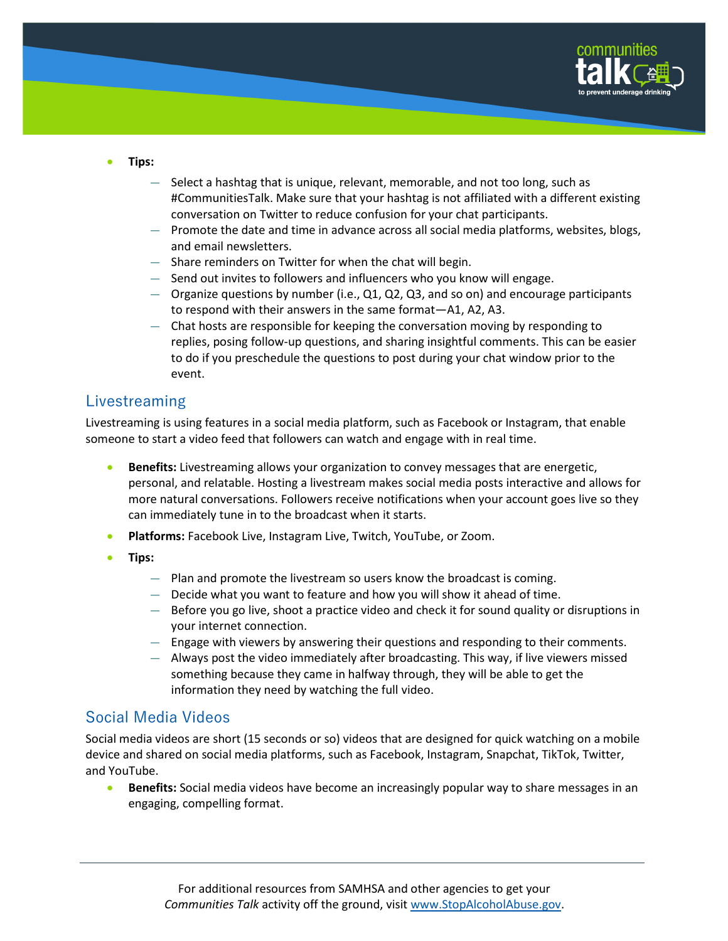

- **Tips:** 
	- Select a hashtag that is unique, relevant, memorable, and not too long, such as #CommunitiesTalk. Make sure that your hashtag is not affiliated with a different existing conversation on Twitter to reduce confusion for your chat participants.
	- Promote the date and time in advance across all social media platforms, websites, blogs, and email newsletters.
	- Share reminders on Twitter for when the chat will begin.
	- Send out invites to followers and influencers who you know will engage.
	- Organize questions by number (i.e., Q1, Q2, Q3, and so on) and encourage participants to respond with their answers in the same format—A1, A2, A3.
	- Chat hosts are responsible for keeping the conversation moving by responding to replies, posing follow-up questions, and sharing insightful comments. This can be easier to do if you preschedule the questions to post during your chat window prior to the event.

### Livestreaming

Livestreaming is using features in a social media platform, such as Facebook or Instagram, that enable someone to start a video feed that followers can watch and engage with in real time.

- **Benefits:** Livestreaming allows your organization to convey messages that are energetic, personal, and relatable. Hosting a livestream makes social media posts interactive and allows for more natural conversations. Followers receive notifications when your account goes live so they can immediately tune in to the broadcast when it starts.
- **Platforms:** Facebook Live, Instagram Live, Twitch, YouTube, or Zoom.
- **Tips:**
	- Plan and promote the livestream so users know the broadcast is coming.
	- Decide what you want to feature and how you will show it ahead of time.
	- Before you go live, shoot a practice video and check it for sound quality or disruptions in your internet connection.
	- Engage with viewers by answering their questions and responding to their comments.
	- Always post the video immediately after broadcasting. This way, if live viewers missed something because they came in halfway through, they will be able to get the information they need by watching the full video.

### Social Media Videos

Social media videos are short (15 seconds or so) videos that are designed for quick watching on a mobile device and shared on social media platforms, such as Facebook, Instagram, Snapchat, TikTok, Twitter, and YouTube.

• **Benefits:** Social media videos have become an increasingly popular way to share messages in an engaging, compelling format.